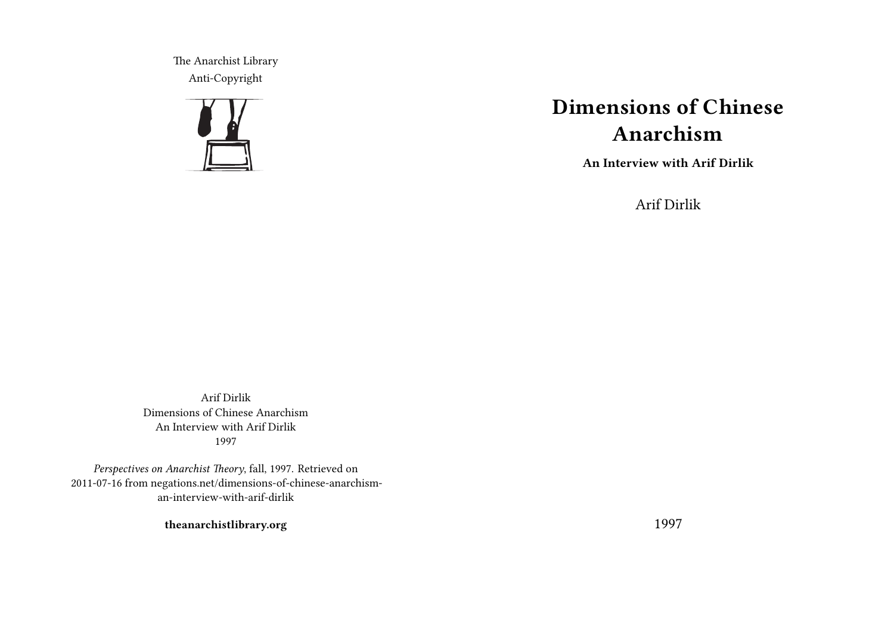The Anarchist Library Anti-Copyright



# **Dimensions of Chinese Anarchism**

**An Interview with Arif Dirlik**

Arif Dirlik

Arif Dirlik Dimensions of Chinese Anarchism An Interview with Arif Dirlik 1997

*Perspectives on Anarchist Theory*, fall, 1997. Retrieved on 2011-07-16 from negations.net/dimensions-of-chinese-anarchisman-interview-with-arif-dirlik

**theanarchistlibrary.org**

1997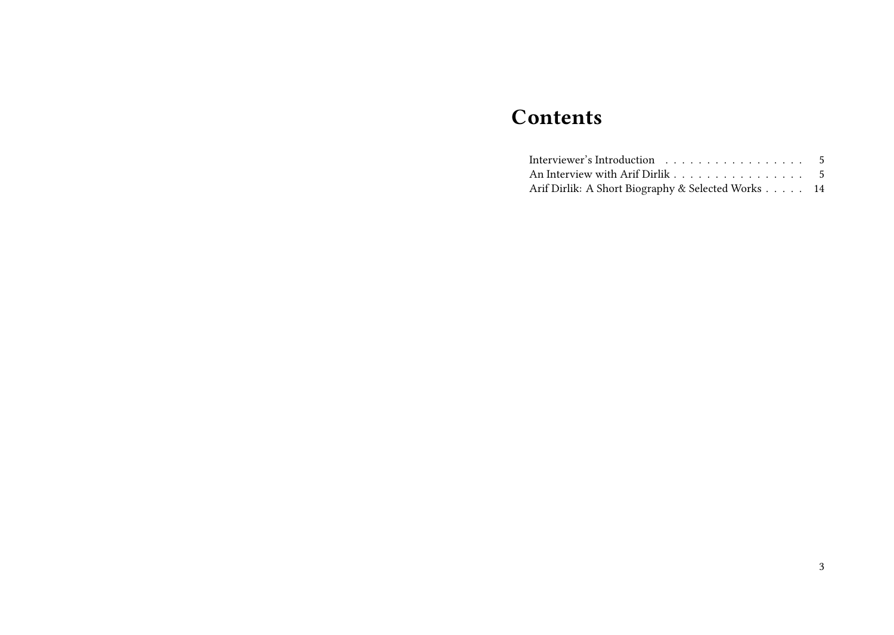## **Contents**

| Interviewer's Introduction 5                       |  |
|----------------------------------------------------|--|
| An Interview with Arif Dirlik 5                    |  |
| Arif Dirlik: A Short Biography & Selected Works 14 |  |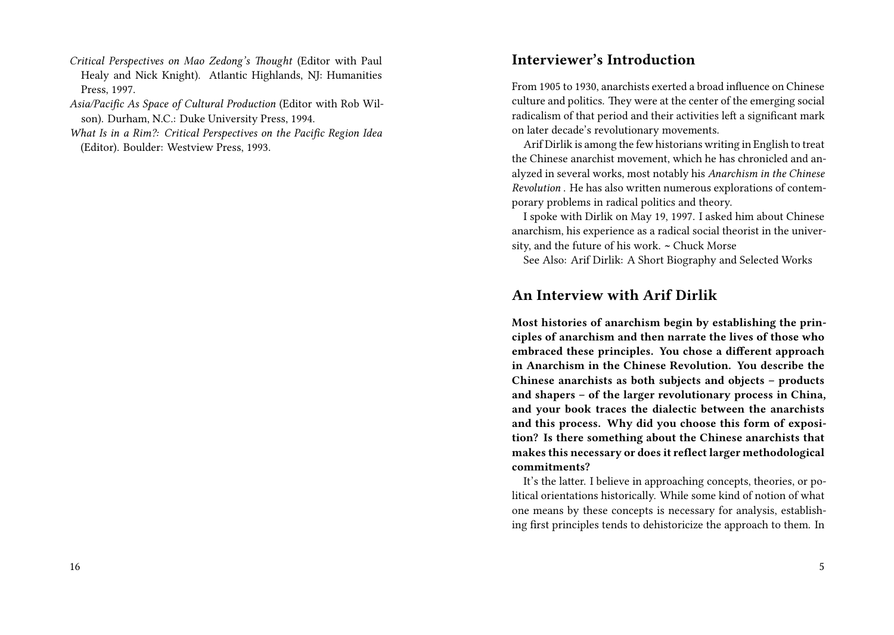- *Critical Perspectives on Mao Zedong's Thought* (Editor with Paul Healy and Nick Knight). Atlantic Highlands, NJ: Humanities Press, 1997.
- *Asia/Pacific As Space of Cultural Production* (Editor with Rob Wilson). Durham, N.C.: Duke University Press, 1994.
- *What Is in a Rim?: Critical Perspectives on the Pacific Region Idea* (Editor). Boulder: Westview Press, 1993.

#### **Interviewer's Introduction**

From 1905 to 1930, anarchists exerted a broad influence on Chinese culture and politics. They were at the center of the emerging social radicalism of that period and their activities left a significant mark on later decade's revolutionary movements.

Arif Dirlik is among the few historians writing in English to treat the Chinese anarchist movement, which he has chronicled and analyzed in several works, most notably his *Anarchism in the Chinese Revolution* . He has also written numerous explorations of contemporary problems in radical politics and theory.

I spoke with Dirlik on May 19, 1997. I asked him about Chinese anarchism, his experience as a radical social theorist in the university, and the future of his work. **~** Chuck Morse

See Also: Arif Dirlik: A Short Biography and Selected Works

#### **An Interview with Arif Dirlik**

**Most histories of anarchism begin by establishing the principles of anarchism and then narrate the lives of those who embraced these principles. You chose a different approach in Anarchism in the Chinese Revolution. You describe the Chinese anarchists as both subjects and objects – products and shapers – of the larger revolutionary process in China, and your book traces the dialectic between the anarchists and this process. Why did you choose this form of exposition? Is there something about the Chinese anarchists that makes this necessary or does it reflect larger methodological commitments?**

It's the latter. I believe in approaching concepts, theories, or political orientations historically. While some kind of notion of what one means by these concepts is necessary for analysis, establishing first principles tends to dehistoricize the approach to them. In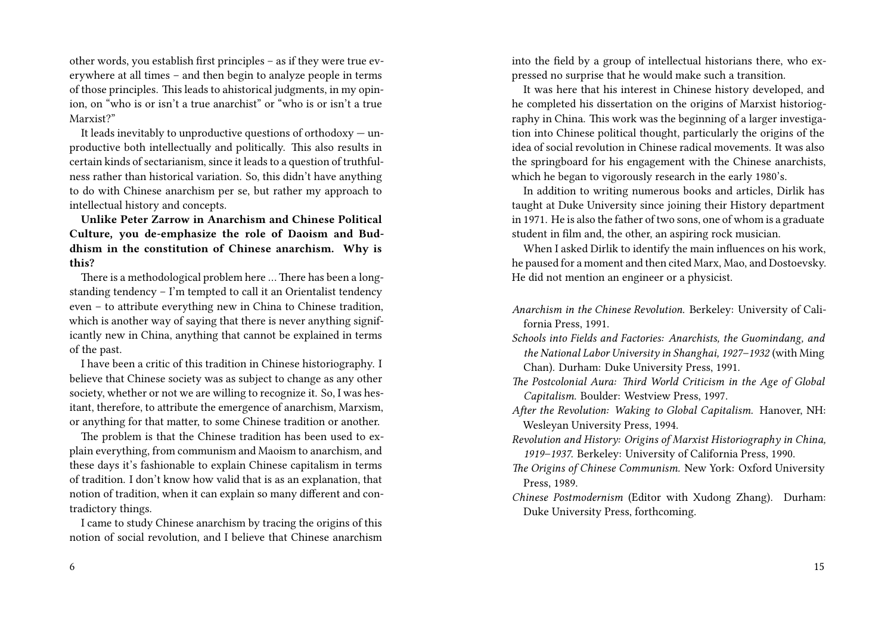other words, you establish first principles – as if they were true everywhere at all times – and then begin to analyze people in terms of those principles. This leads to ahistorical judgments, in my opinion, on "who is or isn't a true anarchist" or "who is or isn't a true Marxist?"

It leads inevitably to unproductive questions of orthodoxy  $-$  unproductive both intellectually and politically. This also results in certain kinds of sectarianism, since it leads to a question of truthfulness rather than historical variation. So, this didn't have anything to do with Chinese anarchism per se, but rather my approach to intellectual history and concepts.

**Unlike Peter Zarrow in Anarchism and Chinese Political Culture, you de-emphasize the role of Daoism and Buddhism in the constitution of Chinese anarchism. Why is this?**

There is a methodological problem here … There has been a longstanding tendency – I'm tempted to call it an Orientalist tendency even – to attribute everything new in China to Chinese tradition, which is another way of saying that there is never anything significantly new in China, anything that cannot be explained in terms of the past.

I have been a critic of this tradition in Chinese historiography. I believe that Chinese society was as subject to change as any other society, whether or not we are willing to recognize it. So, I was hesitant, therefore, to attribute the emergence of anarchism, Marxism, or anything for that matter, to some Chinese tradition or another.

The problem is that the Chinese tradition has been used to explain everything, from communism and Maoism to anarchism, and these days it's fashionable to explain Chinese capitalism in terms of tradition. I don't know how valid that is as an explanation, that notion of tradition, when it can explain so many different and contradictory things.

I came to study Chinese anarchism by tracing the origins of this notion of social revolution, and I believe that Chinese anarchism

6

into the field by a group of intellectual historians there, who expressed no surprise that he would make such a transition.

It was here that his interest in Chinese history developed, and he completed his dissertation on the origins of Marxist historiography in China. This work was the beginning of a larger investigation into Chinese political thought, particularly the origins of the idea of social revolution in Chinese radical movements. It was also the springboard for his engagement with the Chinese anarchists, which he began to vigorously research in the early 1980's.

In addition to writing numerous books and articles, Dirlik has taught at Duke University since joining their History department in 1971. He is also the father of two sons, one of whom is a graduate student in film and, the other, an aspiring rock musician.

When I asked Dirlik to identify the main influences on his work, he paused for a moment and then cited Marx, Mao, and Dostoevsky. He did not mention an engineer or a physicist.

- *Anarchism in the Chinese Revolution.* Berkeley: University of California Press, 1991.
- *Schools into Fields and Factories: Anarchists, the Guomindang, and the National Labor University in Shanghai, 1927–1932* (with Ming Chan)*.* Durham: Duke University Press, 1991.
- *The Postcolonial Aura: Third World Criticism in the Age of Global Capitalism.* Boulder: Westview Press, 1997.
- *After the Revolution: Waking to Global Capitalism.* Hanover, NH: Wesleyan University Press, 1994.
- *Revolution and History: Origins of Marxist Historiography in China, 1919–1937.* Berkeley: University of California Press, 1990.
- *The Origins of Chinese Communism.* New York: Oxford University Press, 1989.
- *Chinese Postmodernism* (Editor with Xudong Zhang). Durham: Duke University Press, forthcoming.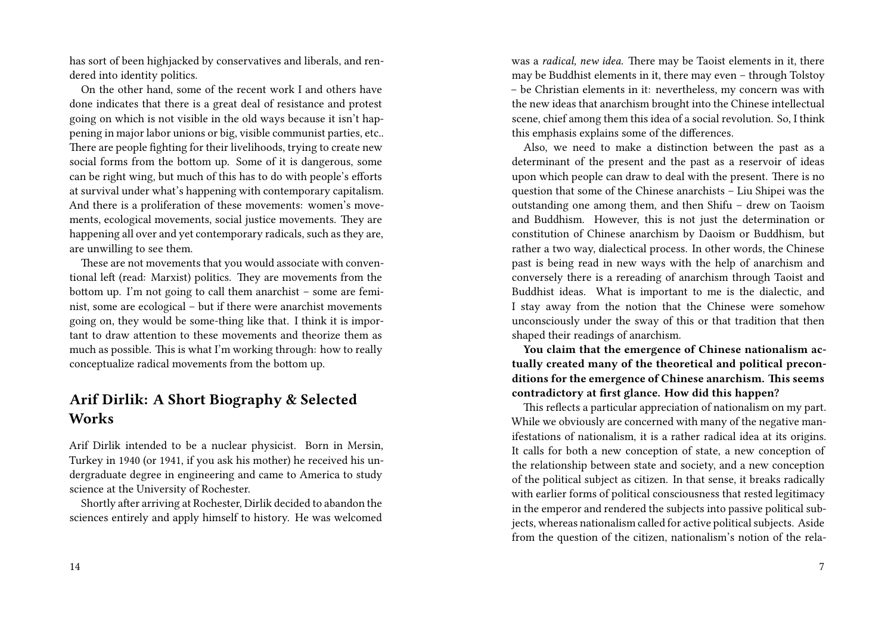has sort of been highjacked by conservatives and liberals, and rendered into identity politics.

On the other hand, some of the recent work I and others have done indicates that there is a great deal of resistance and protest going on which is not visible in the old ways because it isn't happening in major labor unions or big, visible communist parties, etc.. There are people fighting for their livelihoods, trying to create new social forms from the bottom up. Some of it is dangerous, some can be right wing, but much of this has to do with people's efforts at survival under what's happening with contemporary capitalism. And there is a proliferation of these movements: women's movements, ecological movements, social justice movements. They are happening all over and yet contemporary radicals, such as they are, are unwilling to see them.

These are not movements that you would associate with conventional left (read: Marxist) politics. They are movements from the bottom up. I'm not going to call them anarchist – some are feminist, some are ecological – but if there were anarchist movements going on, they would be some-thing like that. I think it is important to draw attention to these movements and theorize them as much as possible. This is what I'm working through: how to really conceptualize radical movements from the bottom up.

### **Arif Dirlik: A Short Biography & Selected Works**

Arif Dirlik intended to be a nuclear physicist. Born in Mersin, Turkey in 1940 (or 1941, if you ask his mother) he received his undergraduate degree in engineering and came to America to study science at the University of Rochester.

Shortly after arriving at Rochester, Dirlik decided to abandon the sciences entirely and apply himself to history. He was welcomed

was a *radical, new idea.* There may be Taoist elements in it, there may be Buddhist elements in it, there may even – through Tolstoy – be Christian elements in it: nevertheless, my concern was with the new ideas that anarchism brought into the Chinese intellectual scene, chief among them this idea of a social revolution. So, I think this emphasis explains some of the differences.

Also, we need to make a distinction between the past as a determinant of the present and the past as a reservoir of ideas upon which people can draw to deal with the present. There is no question that some of the Chinese anarchists – Liu Shipei was the outstanding one among them, and then Shifu – drew on Taoism and Buddhism. However, this is not just the determination or constitution of Chinese anarchism by Daoism or Buddhism, but rather a two way, dialectical process. In other words, the Chinese past is being read in new ways with the help of anarchism and conversely there is a rereading of anarchism through Taoist and Buddhist ideas. What is important to me is the dialectic, and I stay away from the notion that the Chinese were somehow unconsciously under the sway of this or that tradition that then shaped their readings of anarchism.

**You claim that the emergence of Chinese nationalism actually created many of the theoretical and political preconditions for the emergence of Chinese anarchism. This seems contradictory at first glance. How did this happen?**

This reflects a particular appreciation of nationalism on my part. While we obviously are concerned with many of the negative manifestations of nationalism, it is a rather radical idea at its origins. It calls for both a new conception of state, a new conception of the relationship between state and society, and a new conception of the political subject as citizen. In that sense, it breaks radically with earlier forms of political consciousness that rested legitimacy in the emperor and rendered the subjects into passive political subjects, whereas nationalism called for active political subjects. Aside from the question of the citizen, nationalism's notion of the rela-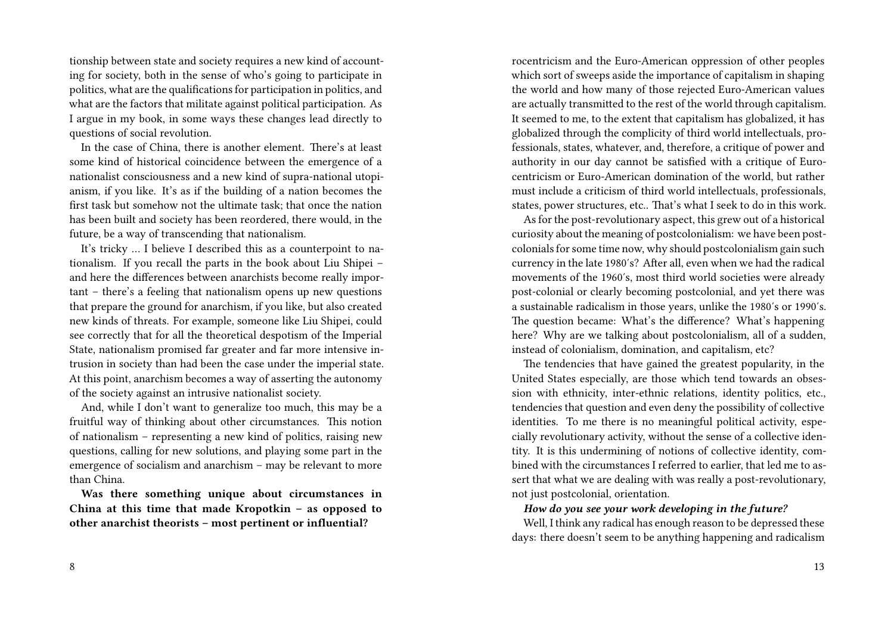tionship between state and society requires a new kind of accounting for society, both in the sense of who's going to participate in politics, what are the qualifications for participation in politics, and what are the factors that militate against political participation. As I argue in my book, in some ways these changes lead directly to questions of social revolution.

In the case of China, there is another element. There's at least some kind of historical coincidence between the emergence of a nationalist consciousness and a new kind of supra-national utopianism, if you like. It's as if the building of a nation becomes the first task but somehow not the ultimate task; that once the nation has been built and society has been reordered, there would, in the future, be a way of transcending that nationalism.

It's tricky … I believe I described this as a counterpoint to nationalism. If you recall the parts in the book about Liu Shipei – and here the differences between anarchists become really important – there's a feeling that nationalism opens up new questions that prepare the ground for anarchism, if you like, but also created new kinds of threats. For example, someone like Liu Shipei, could see correctly that for all the theoretical despotism of the Imperial State, nationalism promised far greater and far more intensive intrusion in society than had been the case under the imperial state. At this point, anarchism becomes a way of asserting the autonomy of the society against an intrusive nationalist society.

And, while I don't want to generalize too much, this may be a fruitful way of thinking about other circumstances. This notion of nationalism – representing a new kind of politics, raising new questions, calling for new solutions, and playing some part in the emergence of socialism and anarchism – may be relevant to more than China.

**Was there something unique about circumstances in China at this time that made Kropotkin – as opposed to other anarchist theorists – most pertinent or influential?**

rocentricism and the Euro-American oppression of other peoples which sort of sweeps aside the importance of capitalism in shaping the world and how many of those rejected Euro-American values are actually transmitted to the rest of the world through capitalism. It seemed to me, to the extent that capitalism has globalized, it has globalized through the complicity of third world intellectuals, professionals, states, whatever, and, therefore, a critique of power and authority in our day cannot be satisfied with a critique of Eurocentricism or Euro-American domination of the world, but rather must include a criticism of third world intellectuals, professionals, states, power structures, etc.. That's what I seek to do in this work.

As for the post-revolutionary aspect, this grew out of a historical curiosity about the meaning of postcolonialism: we have been postcolonials for some time now, why should postcolonialism gain such currency in the late 1980′s? After all, even when we had the radical movements of the 1960′s, most third world societies were already post-colonial or clearly becoming postcolonial, and yet there was a sustainable radicalism in those years, unlike the 1980′s or 1990′s. The question became: What's the difference? What's happening here? Why are we talking about postcolonialism, all of a sudden, instead of colonialism, domination, and capitalism, etc?

The tendencies that have gained the greatest popularity, in the United States especially, are those which tend towards an obsession with ethnicity, inter-ethnic relations, identity politics, etc., tendencies that question and even deny the possibility of collective identities. To me there is no meaningful political activity, especially revolutionary activity, without the sense of a collective identity. It is this undermining of notions of collective identity, combined with the circumstances I referred to earlier, that led me to assert that what we are dealing with was really a post-revolutionary, not just postcolonial, orientation.

*How do you see your work developing in the future?*

Well, I think any radical has enough reason to be depressed these days: there doesn't seem to be anything happening and radicalism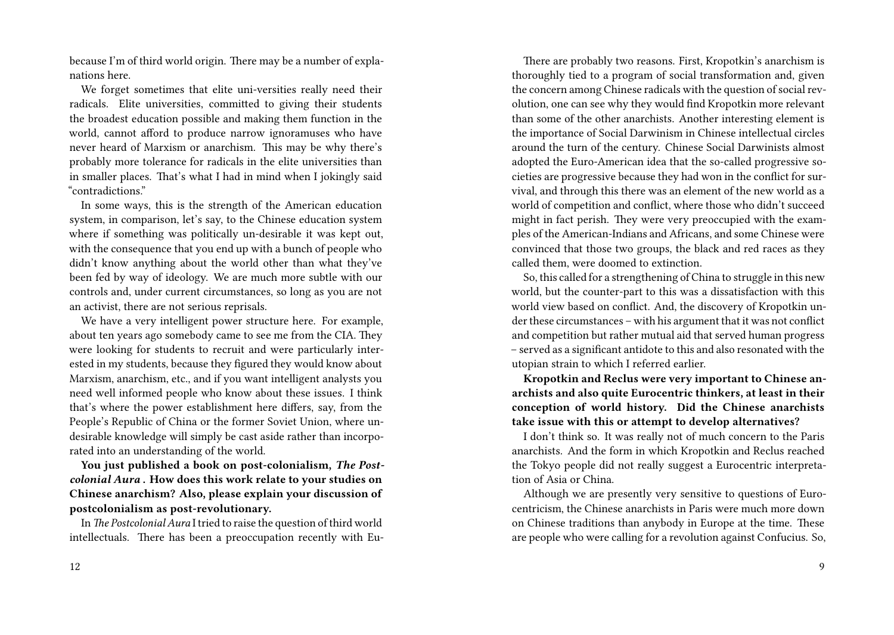because I'm of third world origin. There may be a number of explanations here.

We forget sometimes that elite uni-versities really need their radicals. Elite universities, committed to giving their students the broadest education possible and making them function in the world, cannot afford to produce narrow ignoramuses who have never heard of Marxism or anarchism. This may be why there's probably more tolerance for radicals in the elite universities than in smaller places. That's what I had in mind when I jokingly said "contradictions."

In some ways, this is the strength of the American education system, in comparison, let's say, to the Chinese education system where if something was politically un-desirable it was kept out, with the consequence that you end up with a bunch of people who didn't know anything about the world other than what they've been fed by way of ideology. We are much more subtle with our controls and, under current circumstances, so long as you are not an activist, there are not serious reprisals.

We have a very intelligent power structure here. For example, about ten years ago somebody came to see me from the CIA. They were looking for students to recruit and were particularly interested in my students, because they figured they would know about Marxism, anarchism, etc., and if you want intelligent analysts you need well informed people who know about these issues. I think that's where the power establishment here differs, say, from the People's Republic of China or the former Soviet Union, where undesirable knowledge will simply be cast aside rather than incorporated into an understanding of the world.

**You just published a book on post-colonialism,** *The Postcolonial Aura* **. How does this work relate to your studies on Chinese anarchism? Also, please explain your discussion of postcolonialism as post-revolutionary.**

In *The Postcolonial Aura* I tried to raise the question of third world intellectuals. There has been a preoccupation recently with Eu-

There are probably two reasons. First, Kropotkin's anarchism is thoroughly tied to a program of social transformation and, given the concern among Chinese radicals with the question of social revolution, one can see why they would find Kropotkin more relevant than some of the other anarchists. Another interesting element is the importance of Social Darwinism in Chinese intellectual circles around the turn of the century. Chinese Social Darwinists almost adopted the Euro-American idea that the so-called progressive societies are progressive because they had won in the conflict for survival, and through this there was an element of the new world as a world of competition and conflict, where those who didn't succeed might in fact perish. They were very preoccupied with the examples of the American-Indians and Africans, and some Chinese were convinced that those two groups, the black and red races as they called them, were doomed to extinction.

So, this called for a strengthening of China to struggle in this new world, but the counter-part to this was a dissatisfaction with this world view based on conflict. And, the discovery of Kropotkin under these circumstances – with his argument that it was not conflict and competition but rather mutual aid that served human progress – served as a significant antidote to this and also resonated with the utopian strain to which I referred earlier.

**Kropotkin and Reclus were very important to Chinese anarchists and also quite Eurocentric thinkers, at least in their conception of world history. Did the Chinese anarchists take issue with this or attempt to develop alternatives?**

I don't think so. It was really not of much concern to the Paris anarchists. And the form in which Kropotkin and Reclus reached the Tokyo people did not really suggest a Eurocentric interpretation of Asia or China.

Although we are presently very sensitive to questions of Eurocentricism, the Chinese anarchists in Paris were much more down on Chinese traditions than anybody in Europe at the time. These are people who were calling for a revolution against Confucius. So,